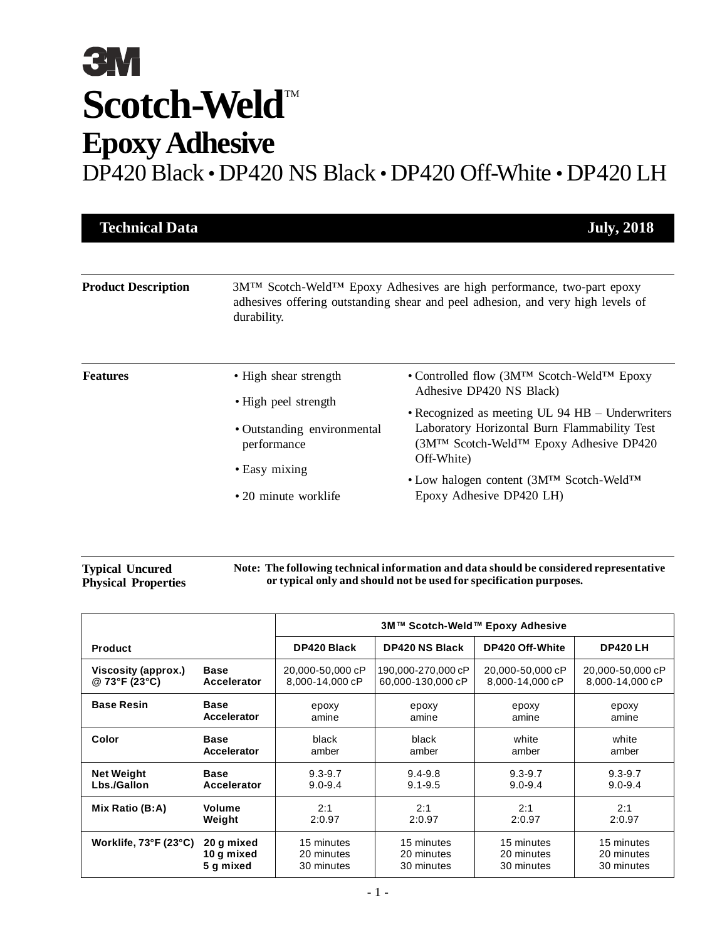| <b>Technical Data</b>      |                                            | <b>July, 2018</b>                                                                                                                                        |
|----------------------------|--------------------------------------------|----------------------------------------------------------------------------------------------------------------------------------------------------------|
|                            |                                            |                                                                                                                                                          |
| <b>Product Description</b> | durability.                                | 3M™ Scotch-Weld™ Epoxy Adhesives are high performance, two-part epoxy<br>adhesives offering outstanding shear and peel adhesion, and very high levels of |
| <b>Features</b>            | • High shear strength                      | • Controlled flow (3M <sup>TM</sup> Scotch-Weld <sup>TM</sup> Epoxy<br>Adhesive DP420 NS Black)                                                          |
|                            | • High peel strength                       | • Recognized as meeting UL 94 HB – Underwriters                                                                                                          |
|                            | • Outstanding environmental<br>performance | Laboratory Horizontal Burn Flammability Test<br>(3M™ Scotch-Weld™ Epoxy Adhesive DP420<br>Off-White)                                                     |
|                            | • Easy mixing                              | • Low halogen content (3MTM Scotch-WeldTM                                                                                                                |
|                            | • 20 minute worklife                       | Epoxy Adhesive DP420 LH)                                                                                                                                 |

#### **Typical Uncured Physical Properties Note: The following technical information and data should be considered representative or typical only and should not be used for specification purposes.**

|                            |             | 3M™ Scotch-Weld™ Epoxy Adhesive |                       |                  |                  |
|----------------------------|-------------|---------------------------------|-----------------------|------------------|------------------|
| <b>Product</b>             |             | DP420 Black                     | <b>DP420 NS Black</b> | DP420 Off-White  | <b>DP420 LH</b>  |
| <b>Viscosity (approx.)</b> | <b>Base</b> | 20,000-50,000 cP                | 190,000-270,000 cP    | 20,000-50,000 cP | 20,000-50,000 cP |
| @ 73°F (23°C)              | Accelerator | 8,000-14,000 cP                 | 60,000-130,000 cP     | 8,000-14,000 cP  | 8,000-14,000 cP  |
| <b>Base Resin</b>          | <b>Base</b> | epoxy                           | epoxy                 | epoxy            | epoxy            |
|                            | Accelerator | amine                           | amine                 | amine            | amine            |
| Color                      | <b>Base</b> | black                           | black                 | white            | white            |
|                            | Accelerator | amber                           | amber                 | amber            | amber            |
| <b>Net Weight</b>          | <b>Base</b> | $9.3 - 9.7$                     | $9.4 - 9.8$           | $9.3 - 9.7$      | $9.3 - 9.7$      |
| Lbs./Gallon                | Accelerator | $9.0 - 9.4$                     | $9.1 - 9.5$           | $9.0 - 9.4$      | $9.0 - 9.4$      |
| Mix Ratio (B:A)            | Volume      | 2:1                             | 2:1                   | 2:1              | 2:1              |
|                            | Weight      | 2:0.97                          | 2:0.97                | 2:0.97           | 2:0.97           |
| Worklife, 73°F (23°C)      | 20 g mixed  | 15 minutes                      | 15 minutes            | 15 minutes       | 15 minutes       |
|                            | 10 g mixed  | 20 minutes                      | 20 minutes            | 20 minutes       | 20 minutes       |
|                            | 5 q mixed   | 30 minutes                      | 30 minutes            | 30 minutes       | 30 minutes       |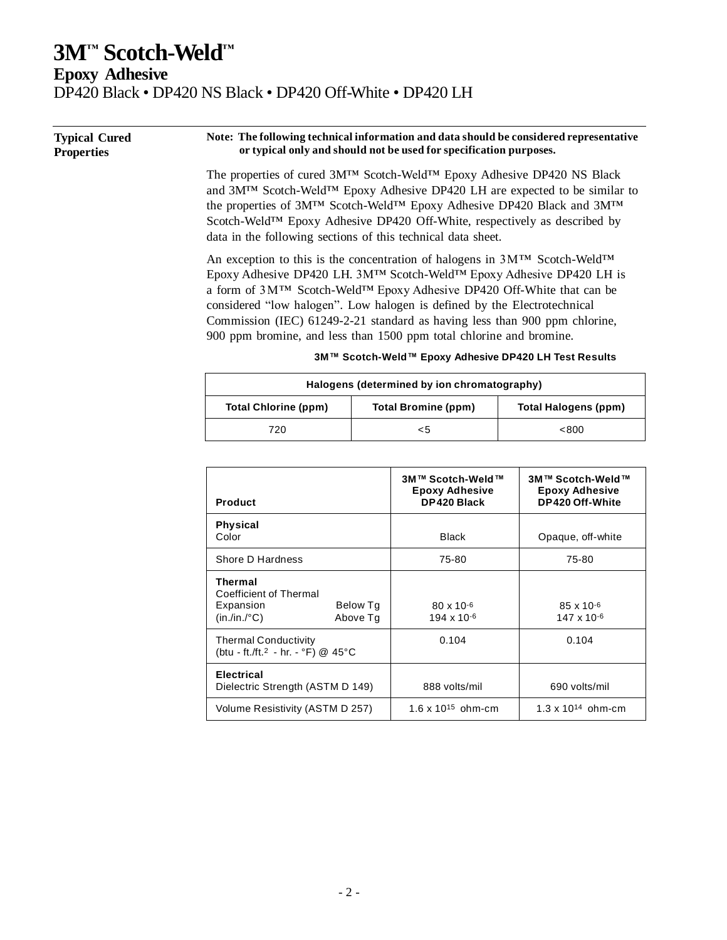**Epoxy Adhesive**

DP420 Black • DP420 NS Black • DP420 Off-White • DP420 LH

**Thermal**

**Electrical**

Coefficient of Thermal

Thermal Conductivity (btu - ft./ft.2 - hr. - °F) @ 45°C

Expansion Below Tg (in./in./°C) Above Tg

| <b>Typical Cured</b><br><b>Properties</b> |                                                                                                                                                                                                                                                                                                                                                                                                                                                                                                                                                | Note: The following technical information and data should be considered representative<br>or typical only and should not be used for specification purposes.                                                                                                                                                                                                                                         |                                                              |  |  |
|-------------------------------------------|------------------------------------------------------------------------------------------------------------------------------------------------------------------------------------------------------------------------------------------------------------------------------------------------------------------------------------------------------------------------------------------------------------------------------------------------------------------------------------------------------------------------------------------------|------------------------------------------------------------------------------------------------------------------------------------------------------------------------------------------------------------------------------------------------------------------------------------------------------------------------------------------------------------------------------------------------------|--------------------------------------------------------------|--|--|
|                                           |                                                                                                                                                                                                                                                                                                                                                                                                                                                                                                                                                | The properties of cured 3M™ Scotch-Weld™ Epoxy Adhesive DP420 NS Black<br>and 3M <sup>TM</sup> Scotch-Weld <sup>TM</sup> Epoxy Adhesive DP420 LH are expected to be similar to<br>the properties of 3M™ Scotch-Weld™ Epoxy Adhesive DP420 Black and 3M™<br>Scotch-Weld™ Epoxy Adhesive DP420 Off-White, respectively as described by<br>data in the following sections of this technical data sheet. |                                                              |  |  |
|                                           | An exception to this is the concentration of halogens in 3M™ Scotch-Weld™<br>Epoxy Adhesive DP420 LH. 3M™ Scotch-Weld™ Epoxy Adhesive DP420 LH is<br>a form of 3M <sup>TM</sup> Scotch-Weld <sup>TM</sup> Epoxy Adhesive DP420 Off-White that can be<br>considered "low halogen". Low halogen is defined by the Electrotechnical<br>Commission (IEC) 61249-2-21 standard as having less than 900 ppm chlorine,<br>900 ppm bromine, and less than 1500 ppm total chlorine and bromine.<br>3M™ Scotch-Weld™ Epoxy Adhesive DP420 LH Test Results |                                                                                                                                                                                                                                                                                                                                                                                                      |                                                              |  |  |
|                                           |                                                                                                                                                                                                                                                                                                                                                                                                                                                                                                                                                | Halogens (determined by ion chromatography)                                                                                                                                                                                                                                                                                                                                                          |                                                              |  |  |
|                                           | <b>Total Chlorine (ppm)</b>                                                                                                                                                                                                                                                                                                                                                                                                                                                                                                                    | <b>Total Bromine (ppm)</b>                                                                                                                                                                                                                                                                                                                                                                           | Total Halogens (ppm)                                         |  |  |
|                                           | 720                                                                                                                                                                                                                                                                                                                                                                                                                                                                                                                                            | $<$ 5                                                                                                                                                                                                                                                                                                                                                                                                | < 800                                                        |  |  |
|                                           |                                                                                                                                                                                                                                                                                                                                                                                                                                                                                                                                                |                                                                                                                                                                                                                                                                                                                                                                                                      |                                                              |  |  |
|                                           | <b>Product</b>                                                                                                                                                                                                                                                                                                                                                                                                                                                                                                                                 | 3M™ Scotch-Weld™<br><b>Epoxy Adhesive</b><br>DP420 Black                                                                                                                                                                                                                                                                                                                                             | 3M™ Scotch-Weld™<br><b>Epoxy Adhesive</b><br>DP420 Off-White |  |  |
|                                           | <b>Physical</b><br>Color                                                                                                                                                                                                                                                                                                                                                                                                                                                                                                                       | <b>Black</b>                                                                                                                                                                                                                                                                                                                                                                                         | Opaque, off-white                                            |  |  |

Shore D Hardness **75-80** 75-80 75-80

Dielectric Strength (ASTM D 149) 888 volts/mil | 690 volts/mil

Volume Resistivity (ASTM D 257) 1.6 x 10<sup>15</sup> ohm-cm 1.3 x 10<sup>14</sup> ohm-cm

80 x 10-6 194 x 10-6

0.104 0.104

85 x 10-6 147 x 10-6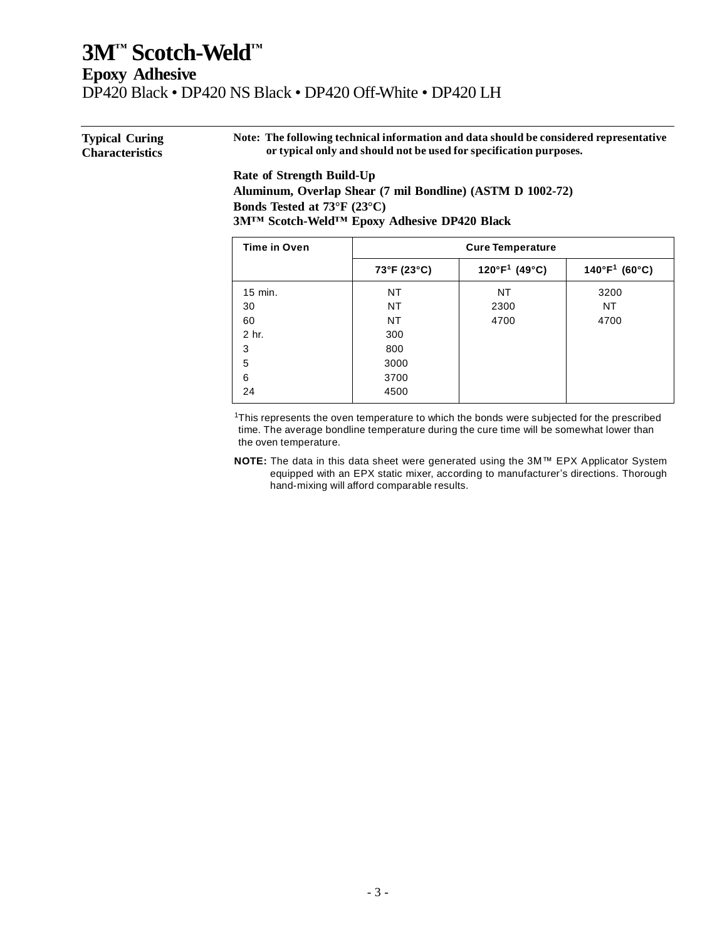| <b>Typical Curing</b>  | Note: The following technical information and data should be considered representative |
|------------------------|----------------------------------------------------------------------------------------|
| <b>Characteristics</b> | or typical only and should not be used for specification purposes.                     |
|                        | Rate of Strength Build-Un                                                              |

#### **Rate of Strength Build-Up Aluminum, Overlap Shear (7 mil Bondline) (ASTM D 1002-72) Bonds Tested at 73°F (23°C) 3M™ Scotch-Weld™ Epoxy Adhesive DP420 Black**

| <b>Time in Oven</b> | <b>Cure Temperature</b> |                           |                           |  |
|---------------------|-------------------------|---------------------------|---------------------------|--|
|                     | 73°F (23°C)             | 120°F <sup>1</sup> (49°C) | $140^{\circ}F^{1}$ (60°C) |  |
| 15 min.             | NT                      | NT                        | 3200                      |  |
| 30                  | <b>NT</b>               | 2300                      | NT                        |  |
| 60                  | NT                      | 4700                      | 4700                      |  |
| 2 hr.               | 300                     |                           |                           |  |
| 3                   | 800                     |                           |                           |  |
| 5                   | 3000                    |                           |                           |  |
| 6                   | 3700                    |                           |                           |  |
| 24                  | 4500                    |                           |                           |  |

<sup>1</sup>This represents the oven temperature to which the bonds were subjected for the prescribed time. The average bondline temperature during the cure time will be somewhat lower than the oven temperature.

**NOTE:** The data in this data sheet were generated using the 3M™ EPX Applicator System equipped with an EPX static mixer, according to manufacturer's directions. Thorough hand-mixing will afford comparable results.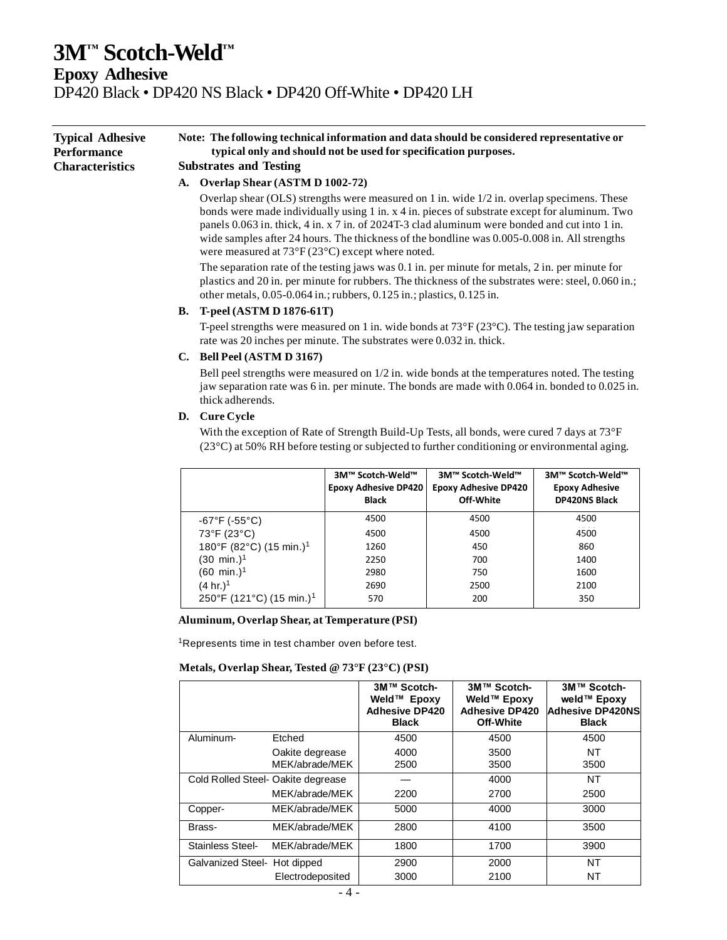**Epoxy Adhesive**

DP420 Black • DP420 NS Black • DP420 Off-White • DP420 LH

**Typical Adhesive Performance Characteristics Note: The following technical information and data should be considered representative or typical only and should not be used for specification purposes. Substrates and Testing A. Overlap Shear (ASTM D 1002-72)**

> Overlap shear (OLS) strengths were measured on 1 in. wide 1/2 in. overlap specimens. These bonds were made individually using 1 in. x 4 in. pieces of substrate except for aluminum. Two panels 0.063 in. thick, 4 in. x 7 in. of 2024T-3 clad aluminum were bonded and cut into 1 in. wide samples after 24 hours. The thickness of the bondline was 0.005-0.008 in. All strengths were measured at 73°F (23°C) except where noted.

> The separation rate of the testing jaws was 0.1 in. per minute for metals, 2 in. per minute for plastics and 20 in. per minute for rubbers. The thickness of the substrates were: steel, 0.060 in.; other metals, 0.05-0.064 in.; rubbers, 0.125 in.; plastics, 0.125 in.

#### **B. T-peel (ASTM D 1876-61T)**

T-peel strengths were measured on 1 in. wide bonds at  $73^{\circ}F(23^{\circ}C)$ . The testing jaw separation rate was 20 inches per minute. The substrates were 0.032 in. thick.

#### **C. Bell Peel (ASTM D 3167)**

Bell peel strengths were measured on 1/2 in. wide bonds at the temperatures noted. The testing jaw separation rate was 6 in. per minute. The bonds are made with 0.064 in. bonded to 0.025 in. thick adherends.

#### **D. Cure Cycle**

With the exception of Rate of Strength Build-Up Tests, all bonds, were cured 7 days at 73°F  $(23^{\circ}C)$  at 50% RH before testing or subjected to further conditioning or environmental aging.

|                                      | 3M™ Scotch-Weld™<br><b>Epoxy Adhesive DP420</b><br><b>Black</b> | 3M™ Scotch-Weld™<br><b>Epoxy Adhesive DP420</b><br>Off-White | 3M™ Scotch-Weld™<br><b>Epoxy Adhesive</b><br><b>DP420NS Black</b> |
|--------------------------------------|-----------------------------------------------------------------|--------------------------------------------------------------|-------------------------------------------------------------------|
| $-67^{\circ}F( -55^{\circ}C)$        | 4500                                                            | 4500                                                         | 4500                                                              |
| 73°F (23°C)                          | 4500                                                            | 4500                                                         | 4500                                                              |
| 180°F (82°C) (15 min.) <sup>1</sup>  | 1260                                                            | 450                                                          | 860                                                               |
| $(30 \text{ min.})^1$                | 2250                                                            | 700                                                          | 1400                                                              |
| (60 min.) <sup>1</sup>               | 2980                                                            | 750                                                          | 1600                                                              |
| $(4 \text{ hr.})^1$                  | 2690                                                            | 2500                                                         | 2100                                                              |
| 250°F (121°C) (15 min.) <sup>1</sup> | 570                                                             | 200                                                          | 350                                                               |

#### **Aluminum, Overlap Shear, at Temperature (PSI)**

<sup>1</sup>Represents time in test chamber oven before test.

#### **Metals, Overlap Shear, Tested @ 73°F (23°C) (PSI)**

|                                    |                                   | 3M™ Scotch-<br>Weld™ Epoxy<br><b>Adhesive DP420</b><br><b>Black</b> | 3M™ Scotch-<br>Weld™ Epoxy<br><b>Adhesive DP420</b><br>Off-White | 3M™ Scotch-<br>weld™ Epoxy<br><b>Adhesive DP420NS</b><br><b>Black</b> |
|------------------------------------|-----------------------------------|---------------------------------------------------------------------|------------------------------------------------------------------|-----------------------------------------------------------------------|
| Aluminum-                          | Etched                            | 4500                                                                | 4500                                                             | 4500                                                                  |
|                                    | Oakite degrease<br>MEK/abrade/MEK | 4000<br>2500                                                        | 3500<br>3500                                                     | NT<br>3500                                                            |
| Cold Rolled Steel- Oakite degrease |                                   |                                                                     | 4000                                                             | NT                                                                    |
|                                    | MEK/abrade/MEK                    | 2200                                                                | 2700                                                             | 2500                                                                  |
| Copper-                            | MEK/abrade/MEK                    | 5000                                                                | 4000                                                             | 3000                                                                  |
| Brass-                             | MEK/abrade/MEK                    | 2800                                                                | 4100                                                             | 3500                                                                  |
| Stainless Steel-                   | MEK/abrade/MEK                    | 1800                                                                | 1700                                                             | 3900                                                                  |
| Galvanized Steel- Hot dipped       |                                   | 2900                                                                | 2000                                                             | <b>NT</b>                                                             |
|                                    | Electrodeposited                  | 3000                                                                | 2100                                                             | ΝT                                                                    |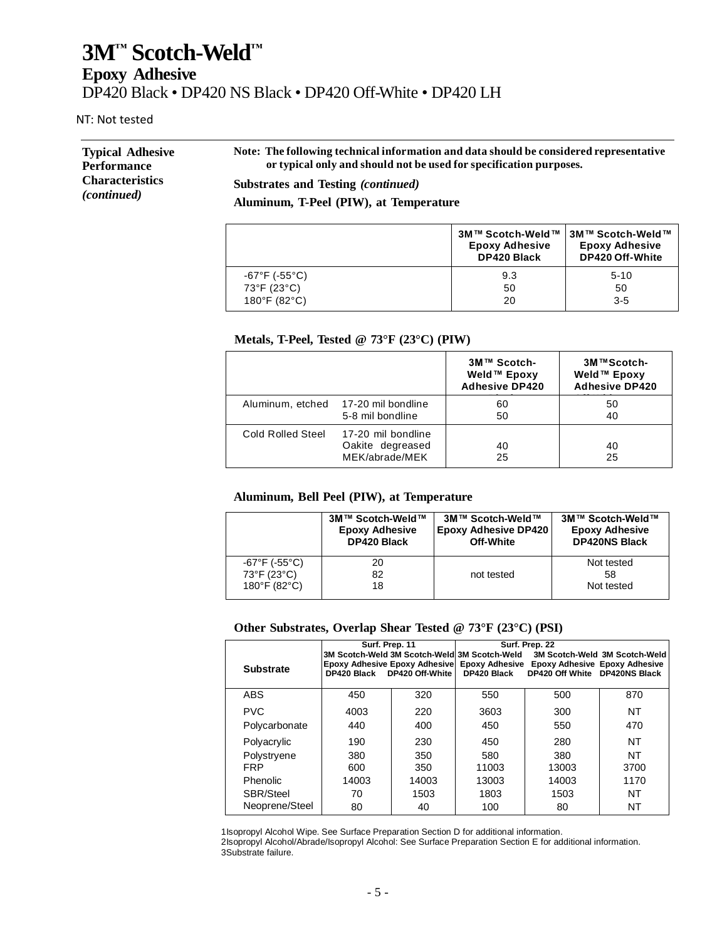NT: Not tested

| <b>Typical Adhesive</b> | Note: The following technical information and data should be considered representative |
|-------------------------|----------------------------------------------------------------------------------------|
| <b>Performance</b>      | or typical only and should not be used for specification purposes.                     |
| <b>Characteristics</b>  | Substrates and Testing <i>(continued)</i>                                              |
| <i>(continued)</i>      | Aluminum, T-Peel (PIW), at Temperature                                                 |

|               | 3M™ Scotch-Weld™<br><b>Epoxy Adhesive</b><br><b>DP420 Black</b> | 3M™ Scotch-Weld™<br><b>Epoxy Adhesive</b><br>DP420 Off-White |
|---------------|-----------------------------------------------------------------|--------------------------------------------------------------|
| -67°F (-55°C) | 9.3                                                             | $5-10$                                                       |
| 73°F (23°C)   | 50                                                              | 50                                                           |
| 180°F (82°C)  | 20                                                              | $3-5$                                                        |

#### **Metals, T-Peel, Tested @ 73°F (23°C) (PIW)**

|                   |                                                          | 3M™ Scotch-<br>Weld™ Epoxy<br><b>Adhesive DP420</b> | 3M™Scotch-<br>Weld™ Epoxy<br><b>Adhesive DP420</b> |
|-------------------|----------------------------------------------------------|-----------------------------------------------------|----------------------------------------------------|
|                   | Aluminum, etched 17-20 mil bondline<br>5-8 mil bondline  | 60<br>50                                            | 50<br>40                                           |
| Cold Rolled Steel | 17-20 mil bondline<br>Oakite degreased<br>MEK/abrade/MEK | 40<br>25                                            | 40<br>25                                           |

#### **Aluminum, Bell Peel (PIW), at Temperature**

|               | 3M™ Scotch-Weld™      | 3M™ Scotch-Weld™            | 3M™ Scotch-Weld™      |
|---------------|-----------------------|-----------------------------|-----------------------|
|               | <b>Epoxy Adhesive</b> | <b>Epoxy Adhesive DP420</b> | <b>Epoxy Adhesive</b> |
|               | <b>DP420 Black</b>    | Off-White                   | <b>DP420NS Black</b>  |
| -67°F (-55°C) | 20                    | not tested                  | Not tested            |
| 73°F (23°C)   | 82                    |                             | 58                    |
| 180°F (82°C)  | 18                    |                             | Not tested            |

#### **Other Substrates, Overlap Shear Tested @ 73°F (23°C) (PSI)**

|                             | Surf. Prep. 11                                                      |            | Surf. Prep. 22                                              |                                                                               |                               |
|-----------------------------|---------------------------------------------------------------------|------------|-------------------------------------------------------------|-------------------------------------------------------------------------------|-------------------------------|
| <b>Substrate</b>            | <b>Epoxy Adhesive Epoxy Adhesive</b><br>DP420 Black DP420 Off-White |            | 3M Scotch-Weld 3M Scotch-Weld 3M Scotch-Weld<br>DP420 Black | Epoxy Adhesive Epoxy Adhesive Epoxy Adhesive<br>DP420 Off White DP420NS Black | 3M Scotch-Weld 3M Scotch-Weld |
| <b>ABS</b>                  | 450                                                                 | 320        | 550                                                         | 500                                                                           | 870                           |
| <b>PVC</b><br>Polycarbonate | 4003<br>440                                                         | 220<br>400 | 3603<br>450                                                 | 300<br>550                                                                    | NT<br>470                     |
| Polyacrylic                 | 190                                                                 | 230        | 450                                                         | 280                                                                           | NT                            |
| Polystryene                 | 380                                                                 | 350        | 580                                                         | 380                                                                           | NT                            |
| <b>FRP</b>                  | 600                                                                 | 350        | 11003                                                       | 13003                                                                         | 3700                          |
| <b>Phenolic</b>             | 14003                                                               | 14003      | 13003                                                       | 14003                                                                         | 1170                          |
| SBR/Steel                   | 70                                                                  | 1503       | 1803                                                        | 1503                                                                          | NT                            |
| Neoprene/Steel              | 80                                                                  | 40         | 100                                                         | 80                                                                            | NT                            |

1Isopropyl Alcohol Wipe. See Surface Preparation Section D for additional information.

 2Isopropyl Alcohol/Abrade/Isopropyl Alcohol: See Surface Preparation Section E for additional information. 3Substrate failure.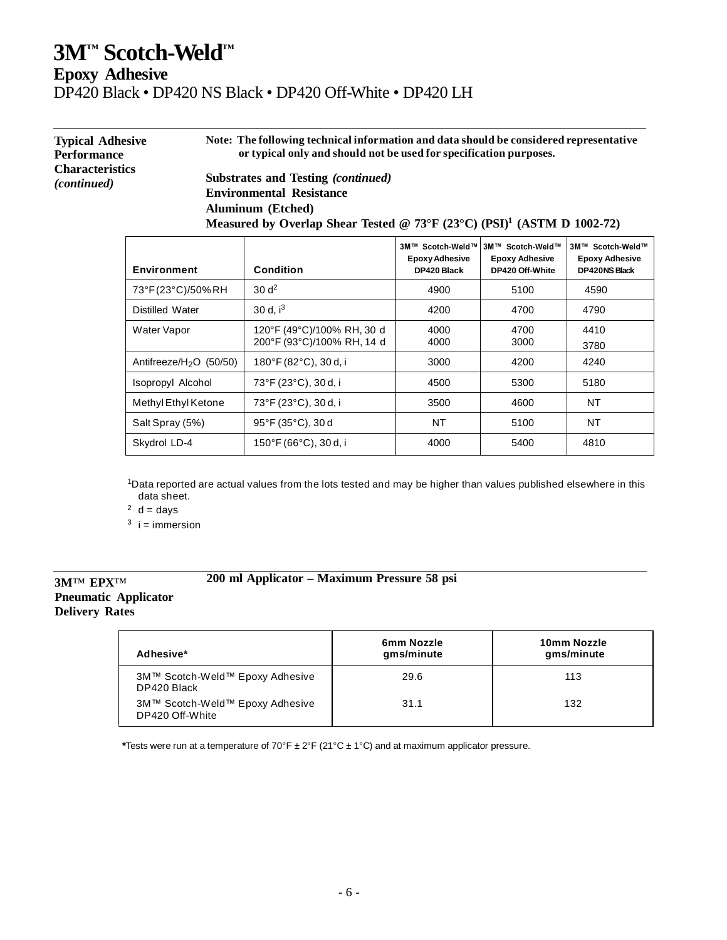**Epoxy Adhesive**

DP420 Black • DP420 NS Black • DP420 Off-White • DP420 LH

| <b>Typical Adhesive</b><br>Performance | Note: The following technical information and data should be considered representative<br>or typical only and should not be used for specification purposes. |
|----------------------------------------|--------------------------------------------------------------------------------------------------------------------------------------------------------------|
| <b>Characteristics</b><br>(continued)  | Substrates and Testing <i>(continued)</i>                                                                                                                    |
|                                        | <b>Environmental Resistance</b>                                                                                                                              |
|                                        | <b>Aluminum</b> (Etched)                                                                                                                                     |

| Measured by Overlap Shear Tested @ 73°F (23°C) (PSI) <sup>1</sup> (ASTM D 1002-72) |                                                          |                                                          |                                                              |                                                                   |
|------------------------------------------------------------------------------------|----------------------------------------------------------|----------------------------------------------------------|--------------------------------------------------------------|-------------------------------------------------------------------|
| <b>Environment</b>                                                                 | Condition                                                | 3M™ Scotch-Weld™<br><b>Epoxy Adhesive</b><br>DP420 Black | 3M™ Scotch-Weld™<br><b>Epoxy Adhesive</b><br>DP420 Off-White | 3M™ Scotch-Weld™<br><b>Epoxy Adhesive</b><br><b>DP420NS Black</b> |
| 73°F(23°C)/50%RH                                                                   | 30 <sup> d<sup>2</sup></sup>                             | 4900                                                     | 5100                                                         | 4590                                                              |
| Distilled Water                                                                    | 30 d. $i^3$                                              | 4200                                                     | 4700                                                         | 4790                                                              |
| Water Vapor                                                                        | 120°F (49°C)/100% RH, 30 d<br>200°F (93°C)/100% RH, 14 d | 4000<br>4000                                             | 4700<br>3000                                                 | 4410<br>3780                                                      |
| Antifreeze/ $H2O$ (50/50)                                                          | 180°F (82°C), 30 d, i                                    | 3000                                                     | 4200                                                         | 4240                                                              |
| Isopropyl Alcohol                                                                  | 73°F (23°C), 30 d, i                                     | 4500                                                     | 5300                                                         | 5180                                                              |
| Methyl Ethyl Ketone                                                                | 73°F (23°C), 30 d, i                                     | 3500                                                     | 4600                                                         | NT                                                                |
| Salt Spray (5%)                                                                    | $95^{\circ}$ F (35 $^{\circ}$ C), 30 d                   | NT                                                       | 5100                                                         | NT                                                                |
| Skydrol LD-4                                                                       | 150°F (66°C), 30 d, i                                    | 4000                                                     | 5400                                                         | 4810                                                              |

<sup>1</sup>Data reported are actual values from the lots tested and may be higher than values published elsewhere in this data sheet.

 $2$  d = days

 $3$  i = immersion

#### **200 ml Applicator – Maximum Pressure 58 psi**

#### **3M**™ **EPX**™ **Pneumatic Applicator Delivery Rates**

| Adhesive*                                          | 6mm Nozzle<br>gms/minute | 10mm Nozzle<br>gms/minute |
|----------------------------------------------------|--------------------------|---------------------------|
| 3M™ Scotch-Weld™ Epoxy Adhesive<br>DP420 Black     | 29.6                     | 113                       |
| 3M™ Scotch-Weld™ Epoxy Adhesive<br>DP420 Off-White | 31.1                     | 132                       |

**\***Tests were run at a temperature of 70°F ± 2°F (21°C ± 1°C) and at maximum applicator pressure.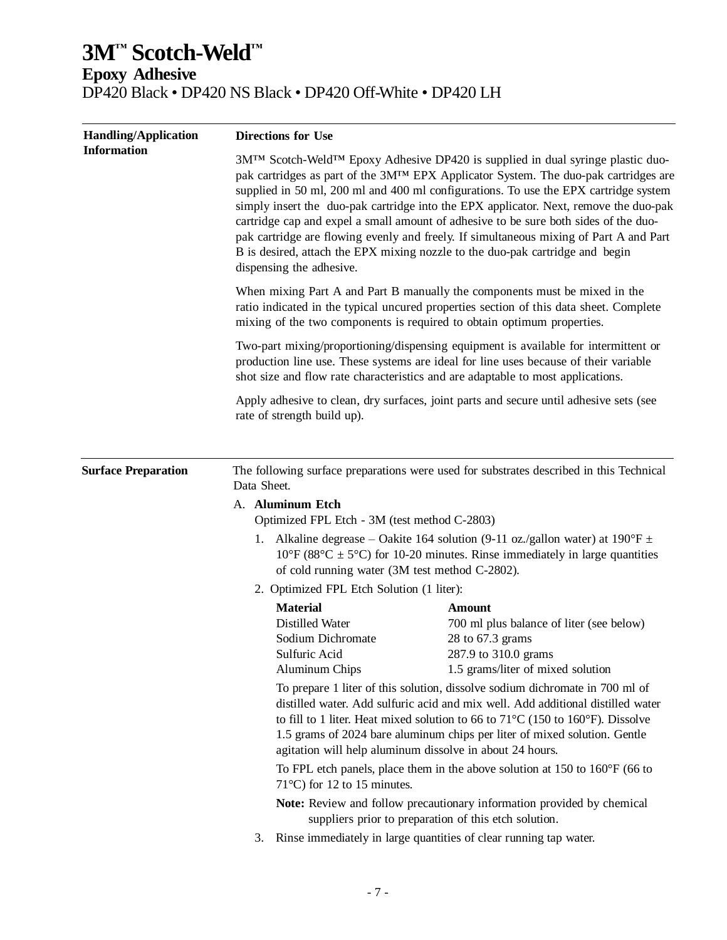| <b>Handling/Application</b> | <b>Directions for Use</b>                                                                                                                                                                                                                                                                                                                                                                                                                                                                                                                                                                                                                                                                                                                                                                                                                                                                                            |                                                                                                                                                                                                                                                                                                                                                                                                                                                                                                                                                    |  |  |
|-----------------------------|----------------------------------------------------------------------------------------------------------------------------------------------------------------------------------------------------------------------------------------------------------------------------------------------------------------------------------------------------------------------------------------------------------------------------------------------------------------------------------------------------------------------------------------------------------------------------------------------------------------------------------------------------------------------------------------------------------------------------------------------------------------------------------------------------------------------------------------------------------------------------------------------------------------------|----------------------------------------------------------------------------------------------------------------------------------------------------------------------------------------------------------------------------------------------------------------------------------------------------------------------------------------------------------------------------------------------------------------------------------------------------------------------------------------------------------------------------------------------------|--|--|
| <b>Information</b>          | 3M™ Scotch-Weld™ Epoxy Adhesive DP420 is supplied in dual syringe plastic duo-<br>pak cartridges as part of the 3M <sup>TM</sup> EPX Applicator System. The duo-pak cartridges are<br>supplied in 50 ml, 200 ml and 400 ml configurations. To use the EPX cartridge system<br>simply insert the duo-pak cartridge into the EPX applicator. Next, remove the duo-pak<br>cartridge cap and expel a small amount of adhesive to be sure both sides of the duo-<br>pak cartridge are flowing evenly and freely. If simultaneous mixing of Part A and Part<br>B is desired, attach the EPX mixing nozzle to the duo-pak cartridge and begin<br>dispensing the adhesive.<br>When mixing Part A and Part B manually the components must be mixed in the<br>ratio indicated in the typical uncured properties section of this data sheet. Complete<br>mixing of the two components is required to obtain optimum properties. |                                                                                                                                                                                                                                                                                                                                                                                                                                                                                                                                                    |  |  |
|                             |                                                                                                                                                                                                                                                                                                                                                                                                                                                                                                                                                                                                                                                                                                                                                                                                                                                                                                                      |                                                                                                                                                                                                                                                                                                                                                                                                                                                                                                                                                    |  |  |
|                             | Two-part mixing/proportioning/dispensing equipment is available for intermittent or<br>production line use. These systems are ideal for line uses because of their variable<br>shot size and flow rate characteristics and are adaptable to most applications.                                                                                                                                                                                                                                                                                                                                                                                                                                                                                                                                                                                                                                                       |                                                                                                                                                                                                                                                                                                                                                                                                                                                                                                                                                    |  |  |
|                             | rate of strength build up).                                                                                                                                                                                                                                                                                                                                                                                                                                                                                                                                                                                                                                                                                                                                                                                                                                                                                          | Apply adhesive to clean, dry surfaces, joint parts and secure until adhesive sets (see                                                                                                                                                                                                                                                                                                                                                                                                                                                             |  |  |
| <b>Surface Preparation</b>  | Data Sheet.                                                                                                                                                                                                                                                                                                                                                                                                                                                                                                                                                                                                                                                                                                                                                                                                                                                                                                          | The following surface preparations were used for substrates described in this Technical                                                                                                                                                                                                                                                                                                                                                                                                                                                            |  |  |
|                             | A. Aluminum Etch<br>Optimized FPL Etch - 3M (test method C-2803)                                                                                                                                                                                                                                                                                                                                                                                                                                                                                                                                                                                                                                                                                                                                                                                                                                                     |                                                                                                                                                                                                                                                                                                                                                                                                                                                                                                                                                    |  |  |
|                             | 1. Alkaline degrease – Oakite 164 solution (9-11 oz./gallon water) at $190^{\circ}F \pm$<br>$10^{\circ}$ F (88 $^{\circ}$ C ± 5 $^{\circ}$ C) for 10-20 minutes. Rinse immediately in large quantities<br>of cold running water (3M test method C-2802).                                                                                                                                                                                                                                                                                                                                                                                                                                                                                                                                                                                                                                                             |                                                                                                                                                                                                                                                                                                                                                                                                                                                                                                                                                    |  |  |
|                             | 2. Optimized FPL Etch Solution (1 liter):                                                                                                                                                                                                                                                                                                                                                                                                                                                                                                                                                                                                                                                                                                                                                                                                                                                                            |                                                                                                                                                                                                                                                                                                                                                                                                                                                                                                                                                    |  |  |
|                             | <b>Material</b><br><b>Distilled Water</b><br>Sodium Dichromate<br>Sulfuric Acid<br><b>Aluminum Chips</b>                                                                                                                                                                                                                                                                                                                                                                                                                                                                                                                                                                                                                                                                                                                                                                                                             | <b>Amount</b><br>700 ml plus balance of liter (see below)<br>28 to 67.3 grams<br>287.9 to 310.0 grams<br>1.5 grams/liter of mixed solution<br>To prepare 1 liter of this solution, dissolve sodium dichromate in 700 ml of<br>distilled water. Add sulfuric acid and mix well. Add additional distilled water<br>to fill to 1 liter. Heat mixed solution to 66 to $71^{\circ}$ C (150 to 160°F). Dissolve<br>1.5 grams of 2024 bare aluminum chips per liter of mixed solution. Gentle<br>agitation will help aluminum dissolve in about 24 hours. |  |  |
|                             | 71 $\degree$ C) for 12 to 15 minutes.                                                                                                                                                                                                                                                                                                                                                                                                                                                                                                                                                                                                                                                                                                                                                                                                                                                                                | To FPL etch panels, place them in the above solution at $150$ to $160^{\circ}$ F (66 to                                                                                                                                                                                                                                                                                                                                                                                                                                                            |  |  |
|                             |                                                                                                                                                                                                                                                                                                                                                                                                                                                                                                                                                                                                                                                                                                                                                                                                                                                                                                                      | Note: Review and follow precautionary information provided by chemical<br>suppliers prior to preparation of this etch solution.                                                                                                                                                                                                                                                                                                                                                                                                                    |  |  |
|                             | 3.                                                                                                                                                                                                                                                                                                                                                                                                                                                                                                                                                                                                                                                                                                                                                                                                                                                                                                                   | Rinse immediately in large quantities of clear running tap water.                                                                                                                                                                                                                                                                                                                                                                                                                                                                                  |  |  |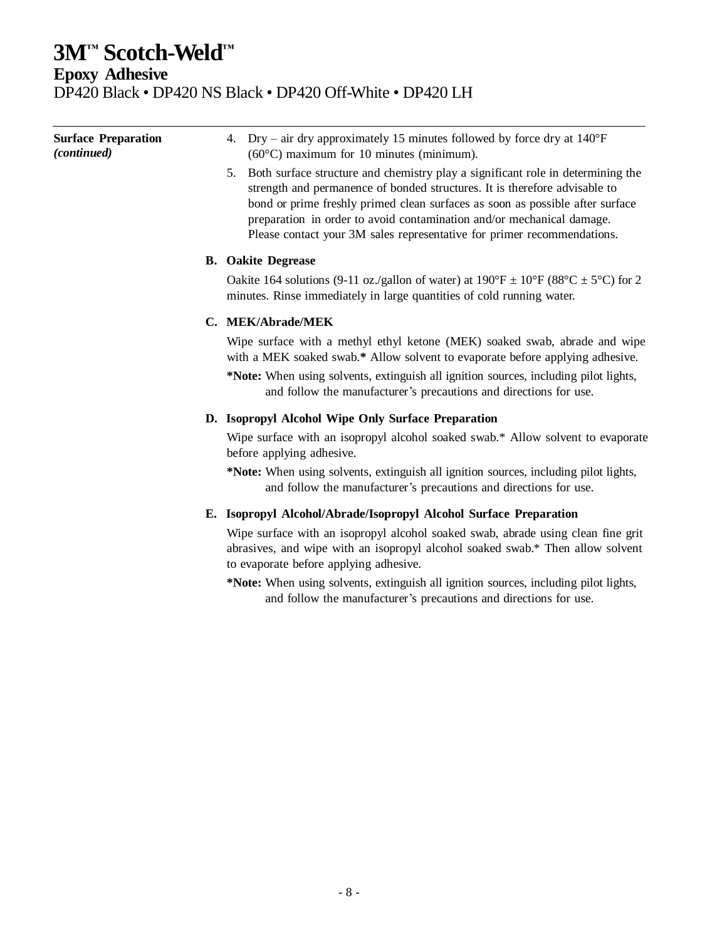**Epoxy Adhesive**

DP420 Black • DP420 NS Black • DP420 Off-White • DP420 LH

| <b>Surface Preparation</b><br>(continued) | Dry – air dry approximately 15 minutes followed by force dry at $140^{\circ}F$<br>4.<br>$(60^{\circ}$ C) maximum for 10 minutes (minimum).                                                                                                                                                                                                                                                               |
|-------------------------------------------|----------------------------------------------------------------------------------------------------------------------------------------------------------------------------------------------------------------------------------------------------------------------------------------------------------------------------------------------------------------------------------------------------------|
|                                           | Both surface structure and chemistry play a significant role in determining the<br>5.<br>strength and permanence of bonded structures. It is therefore advisable to<br>bond or prime freshly primed clean surfaces as soon as possible after surface<br>preparation in order to avoid contamination and/or mechanical damage.<br>Please contact your 3M sales representative for primer recommendations. |
|                                           | <b>B.</b> Oakite Degrease                                                                                                                                                                                                                                                                                                                                                                                |
|                                           | Oakite 164 solutions (9-11 oz./gallon of water) at $190^{\circ}F \pm 10^{\circ}F$ (88°C $\pm$ 5°C) for 2<br>minutes. Rinse immediately in large quantities of cold running water.                                                                                                                                                                                                                        |
|                                           | C. MEK/Abrade/MEK                                                                                                                                                                                                                                                                                                                                                                                        |
|                                           | Wipe surface with a methyl ethyl ketone (MEK) soaked swab, abrade and wipe<br>with a MEK soaked swab.* Allow solvent to evaporate before applying adhesive.                                                                                                                                                                                                                                              |
|                                           | *Note: When using solvents, extinguish all ignition sources, including pilot lights,<br>and follow the manufacturer's precautions and directions for use.                                                                                                                                                                                                                                                |
|                                           | D. Isopropyl Alcohol Wipe Only Surface Preparation                                                                                                                                                                                                                                                                                                                                                       |
|                                           | Wipe surface with an isopropyl alcohol soaked swab.* Allow solvent to evaporate<br>before applying adhesive.                                                                                                                                                                                                                                                                                             |
|                                           | *Note: When using solvents, extinguish all ignition sources, including pilot lights,<br>and follow the manufacturer's precautions and directions for use.                                                                                                                                                                                                                                                |
|                                           | E. Isopropyl Alcohol/Abrade/Isopropyl Alcohol Surface Preparation                                                                                                                                                                                                                                                                                                                                        |
|                                           | Wipe surface with an isopropyl alcohol soaked swab, abrade using clean fine grit<br>abrasives, and wipe with an isopropyl alcohol soaked swab.* Then allow solvent<br>to evaporate before applying adhesive.                                                                                                                                                                                             |
|                                           | *Note: When using solvents, extinguish all ignition sources, including pilot lights,<br>and follow the manufacturer's precautions and directions for use.                                                                                                                                                                                                                                                |
|                                           |                                                                                                                                                                                                                                                                                                                                                                                                          |
|                                           |                                                                                                                                                                                                                                                                                                                                                                                                          |
|                                           |                                                                                                                                                                                                                                                                                                                                                                                                          |
|                                           |                                                                                                                                                                                                                                                                                                                                                                                                          |